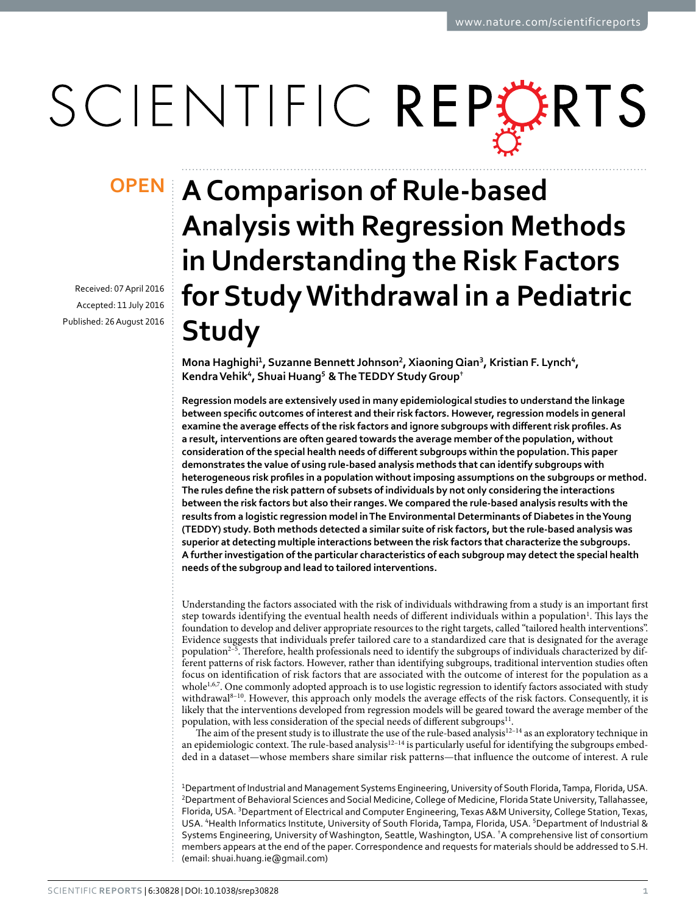# SCIENTIFIC REPERTS

Received: 07 April 2016 accepted: 11 July 2016 Published: 26 August 2016

## **A Comparison of Rule-based Analysis with Regression Methods in Understanding the Risk Factors for Study Withdrawal in a Pediatric Study**

**Mona Haghighi<sup>1</sup>, Suzanne Bennett Johnson<sup>2</sup>, XiaoningQian<sup>3</sup>, Kristian F. Lynch<sup>4</sup>, KendraVehik<sup>4</sup>, Shuai Huang<sup>5</sup> &The TEDDY Study Group†**

**Regression models are extensively used in many epidemiological studies to understand the linkage between specific outcomes of interest and their risk factors. However, regression models in general examine the average effects of the risk factors and ignore subgroups with different risk profiles. As a result, interventions are often geared towards the average member of the population, without consideration of the special health needs of different subgroups within the population. This paper demonstrates the value of using rule-based analysis methods that can identify subgroups with heterogeneous risk profiles in a population without imposing assumptions on the subgroups or method. The rules define the risk pattern of subsets of individuals by not only considering the interactions between the risk factors but also their ranges. We compared the rule-based analysis results with the results from a logistic regression model in The Environmental Determinants of Diabetes in the Young (TEDDY) study. Both methods detected a similar suite of risk factors, but the rule-based analysis was superior at detecting multiple interactions between the risk factors that characterize the subgroups. A further investigation of the particular characteristics of each subgroup may detect the special health needs of the subgroup and lead to tailored interventions.**

Understanding the factors associated with the risk of individuals withdrawing from a study is an important first step towards identifying the eventual health needs of different individuals within a population<sup>[1](#page-8-0)</sup>. This lays the foundation to develop and deliver appropriate resources to the right targets, called "tailored health interventions". Evidence suggests that individuals prefer tailored care to a standardized care that is designated for the average population<sup>2–5</sup>. Therefore, health professionals need to identify the subgroups of individuals characterized by different patterns of risk factors. However, rather than identifying subgroups, traditional intervention studies often focus on identification of risk factors that are associated with the outcome of interest for the population as a whole<sup>1[,6](#page-8-2),[7](#page-8-3)</sup>. One commonly adopted approach is to use logistic regression to identify factors associated with study withdrawal<sup>8-10</sup>. However, this approach only models the average effects of the risk factors. Consequently, it is likely that the interventions developed from regression models will be geared toward the average member of the population, with less consideration of the special needs of different subgroups $^{11}$ .

The aim of the present study is to illustrate the use of the rule-based analysis<sup>12-14</sup> as an exploratory technique in an epidemiologic context. The rule-based analysis<sup>12-14</sup> is particularly useful for identifying the subgroups embedded in a dataset—whose members share similar risk patterns—that influence the outcome of interest. A rule

1 Department of Industrial and Management Systems Engineering, University of South Florida, Tampa, Florida, USA. 2 Department of Behavioral Sciences and Social Medicine, College of Medicine, Florida State University, Tallahassee, Florida, USA. <sup>3</sup>Department of Electrical and Computer Engineering, Texas A&M University, College Station, Texas, USA. <sup>4</sup> Health Informatics Institute, University of South Florida, Tampa, Florida, USA. <sup>5</sup> Department of Industrial & Systems Engineering, University of Washington, Seattle, Washington, USA. † A comprehensive list of consortium members appears at the end of the paper. Correspondence and requests for materials should be addressed to S.H. (email: [shuai.huang.ie@gmail.com](mailto:shuai.huang.ie@gmail.com))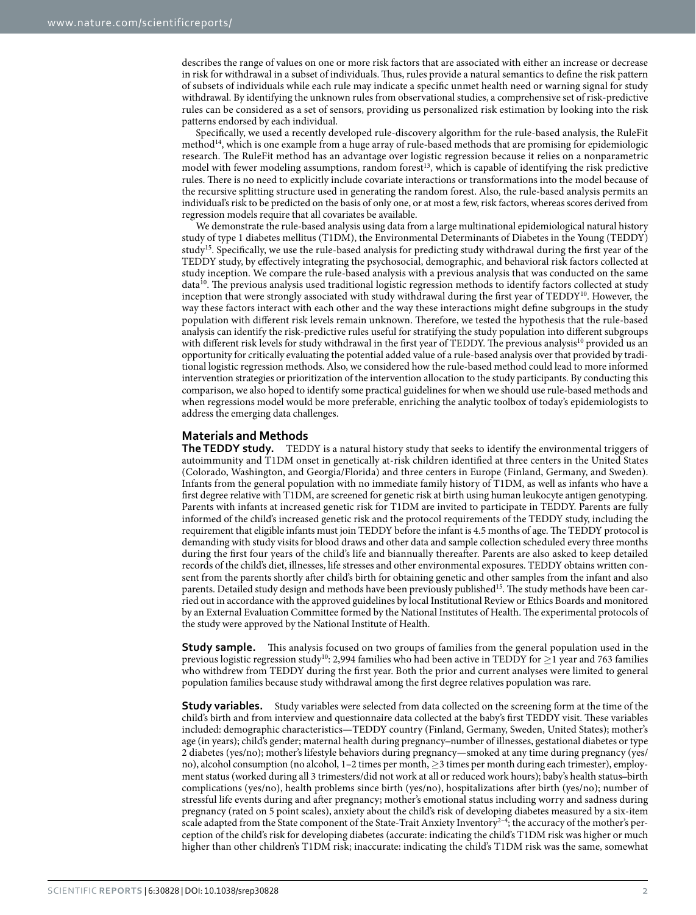describes the range of values on one or more risk factors that are associated with either an increase or decrease in risk for withdrawal in a subset of individuals. Thus, rules provide a natural semantics to define the risk pattern of subsets of individuals while each rule may indicate a specific unmet health need or warning signal for study withdrawal. By identifying the unknown rules from observational studies, a comprehensive set of risk-predictive rules can be considered as a set of sensors, providing us personalized risk estimation by looking into the risk patterns endorsed by each individual.

Specifically, we used a recently developed rule-discovery algorithm for the rule-based analysis, the RuleFit method[14,](#page-9-2) which is one example from a huge array of rule-based methods that are promising for epidemiologic research. The RuleFit method has an advantage over logistic regression because it relies on a nonparametric model with fewer modeling assumptions, random forest<sup>[13](#page-9-3)</sup>, which is capable of identifying the risk predictive rules. There is no need to explicitly include covariate interactions or transformations into the model because of the recursive splitting structure used in generating the random forest. Also, the rule-based analysis permits an individual's risk to be predicted on the basis of only one, or at most a few, risk factors, whereas scores derived from regression models require that all covariates be available.

We demonstrate the rule-based analysis using data from a large multinational epidemiological natural history study of type 1 diabetes mellitus (T1DM), the Environmental Determinants of Diabetes in the Young (TEDDY) stud[y15](#page-9-4). Specifically, we use the rule-based analysis for predicting study withdrawal during the first year of the TEDDY study, by effectively integrating the psychosocial, demographic, and behavioral risk factors collected at study inception. We compare the rule-based analysis with a previous analysis that was conducted on the same data<sup>10</sup>. The previous analysis used traditional logistic regression methods to identify factors collected at study inception that were strongly associated with study withdrawal during the first year of TEDDY[10](#page-9-5). However, the way these factors interact with each other and the way these interactions might define subgroups in the study population with different risk levels remain unknown. Therefore, we tested the hypothesis that the rule-based analysis can identify the risk-predictive rules useful for stratifying the study population into different subgroups with different risk levels for study withdrawal in the first year of TEDDY. The previous analysis<sup>10</sup> provided us an opportunity for critically evaluating the potential added value of a rule-based analysis over that provided by traditional logistic regression methods. Also, we considered how the rule-based method could lead to more informed intervention strategies or prioritization of the intervention allocation to the study participants. By conducting this comparison, we also hoped to identify some practical guidelines for when we should use rule-based methods and when regressions model would be more preferable, enriching the analytic toolbox of today's epidemiologists to address the emerging data challenges.

### **Materials and Methods**

**The TEDDY study.** TEDDY is a natural history study that seeks to identify the environmental triggers of autoimmunity and T1DM onset in genetically at-risk children identified at three centers in the United States (Colorado, Washington, and Georgia/Florida) and three centers in Europe (Finland, Germany, and Sweden). Infants from the general population with no immediate family history of T1DM, as well as infants who have a first degree relative with T1DM, are screened for genetic risk at birth using human leukocyte antigen genotyping. Parents with infants at increased genetic risk for T1DM are invited to participate in TEDDY. Parents are fully informed of the child's increased genetic risk and the protocol requirements of the TEDDY study, including the requirement that eligible infants must join TEDDY before the infant is 4.5 months of age. The TEDDY protocol is demanding with study visits for blood draws and other data and sample collection scheduled every three months during the first four years of the child's life and biannually thereafter. Parents are also asked to keep detailed records of the child's diet, illnesses, life stresses and other environmental exposures. TEDDY obtains written consent from the parents shortly after child's birth for obtaining genetic and other samples from the infant and also parents. Detailed study design and methods have been previously published<sup>15</sup>. The study methods have been carried out in accordance with the approved guidelines by local Institutional Review or Ethics Boards and monitored by an External Evaluation Committee formed by the National Institutes of Health. The experimental protocols of the study were approved by the National Institute of Health.

**Study sample.** This analysis focused on two groups of families from the general population used in the previous logistic regression stud[y10:](#page-9-5) 2,994 families who had been active in TEDDY for ≥1 year and 763 families who withdrew from TEDDY during the first year. Both the prior and current analyses were limited to general population families because study withdrawal among the first degree relatives population was rare.

**Study variables.** Study variables were selected from data collected on the screening form at the time of the child's birth and from interview and questionnaire data collected at the baby's first TEDDY visit. These variables included: demographic characteristics—TEDDY country (Finland, Germany, Sweden, United States); mother's age (in years); child's gender; maternal health during pregnancy-number of illnesses, gestational diabetes or type 2 diabetes (yes/no); mother's lifestyle behaviors during pregnancy—smoked at any time during pregnancy (yes/ no), alcohol consumption (no alcohol, 1–2 times per month, ≥3 times per month during each trimester), employment status (worked during all 3 trimesters/did not work at all or reduced work hours); baby's health status–birth complications (yes/no), health problems since birth (yes/no), hospitalizations after birth (yes/no); number of stressful life events during and after pregnancy; mother's emotional status including worry and sadness during pregnancy (rated on 5 point scales), anxiety about the child's risk of developing diabetes measured by a six-item scale adapted from the State component of the State-Trait Anxiety Inventory<sup>2–4</sup>; the accuracy of the mother's perception of the child's risk for developing diabetes (accurate: indicating the child's T1DM risk was higher or much higher than other children's T1DM risk; inaccurate: indicating the child's T1DM risk was the same, somewhat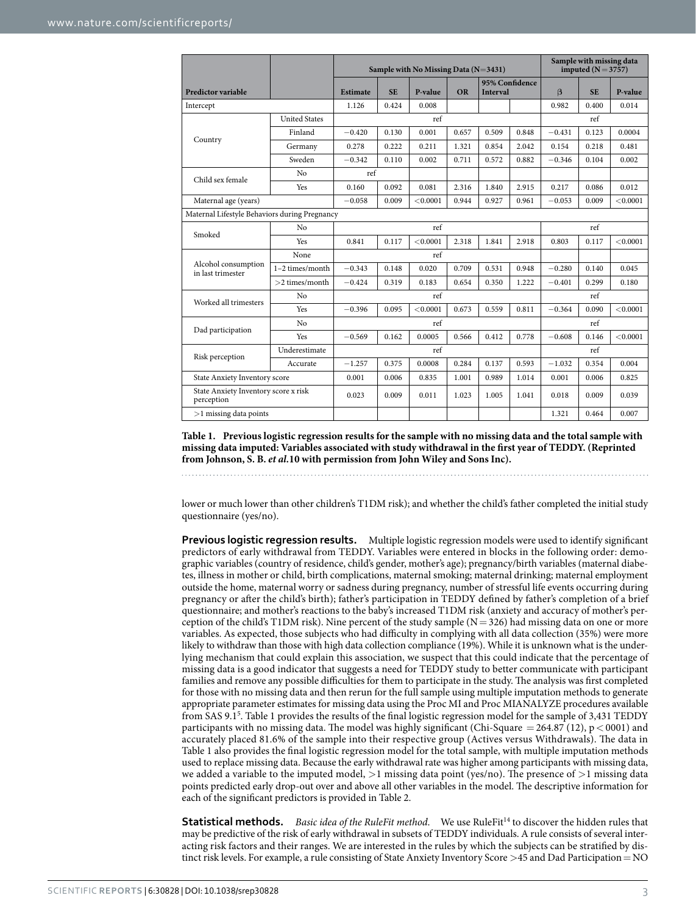<span id="page-2-0"></span>

|                                                    |                      | Sample with No Missing Data $(N=3431)$ |           |          |           |                                   |       | Sample with missing data<br>imputed $(N = 3757)$ |           |          |
|----------------------------------------------------|----------------------|----------------------------------------|-----------|----------|-----------|-----------------------------------|-------|--------------------------------------------------|-----------|----------|
| <b>Predictor variable</b>                          |                      | <b>Estimate</b>                        | <b>SE</b> | P-value  | <b>OR</b> | 95% Confidence<br><b>Interval</b> |       | $\beta$                                          | <b>SE</b> | P-value  |
| Intercept                                          |                      | 1.126                                  | 0.424     | 0.008    |           |                                   |       | 0.982                                            | 0.400     | 0.014    |
| Country                                            | <b>United States</b> | ref                                    |           |          |           |                                   | ref   |                                                  |           |          |
|                                                    | Finland              | $-0.420$                               | 0.130     | 0.001    | 0.657     | 0.509                             | 0.848 | $-0.431$                                         | 0.123     | 0.0004   |
|                                                    | Germany              | 0.278                                  | 0.222     | 0.211    | 1.321     | 0.854                             | 2.042 | 0.154                                            | 0.218     | 0.481    |
|                                                    | Sweden               | $-0.342$                               | 0.110     | 0.002    | 0.711     | 0.572                             | 0.882 | $-0.346$                                         | 0.104     | 0.002    |
| Child sex female                                   | N <sub>o</sub>       | ref                                    |           |          |           |                                   |       |                                                  |           |          |
|                                                    | Yes                  | 0.160                                  | 0.092     | 0.081    | 2.316     | 1.840                             | 2.915 | 0.217                                            | 0.086     | 0.012    |
| Maternal age (years)                               |                      | $-0.058$                               | 0.009     | < 0.0001 | 0.944     | 0.927                             | 0.961 | $-0.053$                                         | 0.009     | < 0.0001 |
| Maternal Lifestyle Behaviors during Pregnancy      |                      |                                        |           |          |           |                                   |       |                                                  |           |          |
| Smoked                                             | No                   | ref                                    |           |          |           |                                   | ref   |                                                  |           |          |
|                                                    | Yes                  | 0.841                                  | 0.117     | < 0.0001 | 2.318     | 1.841                             | 2.918 | 0.803                                            | 0.117     | < 0.0001 |
| Alcohol consumption<br>in last trimester           | None                 | ref                                    |           |          |           |                                   |       |                                                  |           |          |
|                                                    | $1-2$ times/month    | $-0.343$                               | 0.148     | 0.020    | 0.709     | 0.531                             | 0.948 | $-0.280$                                         | 0.140     | 0.045    |
|                                                    | $>2$ times/month     | $-0.424$                               | 0.319     | 0.183    | 0.654     | 0.350                             | 1.222 | $-0.401$                                         | 0.299     | 0.180    |
| Worked all trimesters                              | No                   | ref                                    |           |          |           |                                   | ref   |                                                  |           |          |
|                                                    | <b>Yes</b>           | $-0.396$                               | 0.095     | < 0.0001 | 0.673     | 0.559                             | 0.811 | $-0.364$                                         | 0.090     | < 0.0001 |
| Dad participation                                  | No                   | ref                                    |           |          |           |                                   | ref   |                                                  |           |          |
|                                                    | <b>Yes</b>           | $-0.569$                               | 0.162     | 0.0005   | 0.566     | 0.412                             | 0.778 | $-0.608$                                         | 0.146     | < 0.0001 |
| Risk perception                                    | Underestimate        | ref                                    |           |          |           |                                   | ref   |                                                  |           |          |
|                                                    | Accurate             | $-1.257$                               | 0.375     | 0.0008   | 0.284     | 0.137                             | 0.593 | $-1.032$                                         | 0.354     | 0.004    |
| State Anxiety Inventory score                      |                      | 0.001                                  | 0.006     | 0.835    | 1.001     | 0.989                             | 1.014 | 0.001                                            | 0.006     | 0.825    |
| State Anxiety Inventory score x risk<br>perception |                      | 0.023                                  | 0.009     | 0.011    | 1.023     | 1.005                             | 1.041 | 0.018                                            | 0.009     | 0.039    |
| $>1$ missing data points                           |                      |                                        |           |          |           |                                   |       | 1.321                                            | 0.464     | 0.007    |

**Table 1. Previous logistic regression results for the sample with no missing data and the total sample with missing data imputed: Variables associated with study withdrawal in the first year of TEDDY. (Reprinted from Johnson, S. B.** *et al.***10 with permission from John Wiley and Sons Inc).**

lower or much lower than other children's T1DM risk); and whether the child's father completed the initial study questionnaire (yes/no).

**Previous logistic regression results.** Multiple logistic regression models were used to identify significant predictors of early withdrawal from TEDDY. Variables were entered in blocks in the following order: demographic variables (country of residence, child's gender, mother's age); pregnancy/birth variables (maternal diabetes, illness in mother or child, birth complications, maternal smoking; maternal drinking; maternal employment outside the home, maternal worry or sadness during pregnancy, number of stressful life events occurring during pregnancy or after the child's birth); father's participation in TEDDY defined by father's completion of a brief questionnaire; and mother's reactions to the baby's increased T1DM risk (anxiety and accuracy of mother's perception of the child's T1DM risk). Nine percent of the study sample  $(N = 326)$  had missing data on one or more variables. As expected, those subjects who had difficulty in complying with all data collection (35%) were more likely to withdraw than those with high data collection compliance (19%). While it is unknown what is the underlying mechanism that could explain this association, we suspect that this could indicate that the percentage of missing data is a good indicator that suggests a need for TEDDY study to better communicate with participant families and remove any possible difficulties for them to participate in the study. The analysis was first completed for those with no missing data and then rerun for the full sample using multiple imputation methods to generate appropriate parameter estimates for missing data using the Proc MI and Proc MIANALYZE procedures available from SAS 9.[15](#page-8-5) . [Table 1](#page-2-0) provides the results of the final logistic regression model for the sample of 3,431 TEDDY participants with no missing data. The model was highly significant (Chi-Square = 264.87 (12),  $p < 0001$ ) and accurately placed 81.6% of the sample into their respective group (Actives versus Withdrawals). The data in [Table 1](#page-2-0) also provides the final logistic regression model for the total sample, with multiple imputation methods used to replace missing data. Because the early withdrawal rate was higher among participants with missing data, we added a variable to the imputed model,  $>1$  missing data point (yes/no). The presence of  $>1$  missing data points predicted early drop-out over and above all other variables in the model. The descriptive information for each of the significant predictors is provided in [Table 2.](#page-3-0)

**Statistical methods.** *Basic idea of the RuleFit method.* We use RuleFit<sup>14</sup> to discover the hidden rules that may be predictive of the risk of early withdrawal in subsets of TEDDY individuals. A rule consists of several interacting risk factors and their ranges. We are interested in the rules by which the subjects can be stratified by distinct risk levels. For example, a rule consisting of State Anxiety Inventory Score >45 and Dad Participation=NO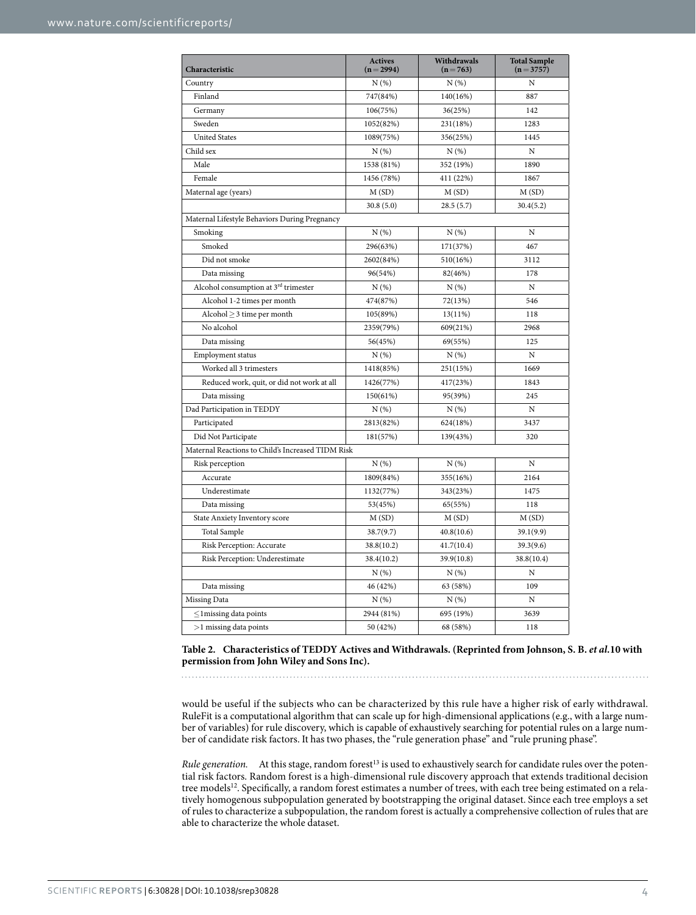<span id="page-3-0"></span>

| Characteristic                                    | <b>Actives</b><br>$(n=2994)$ | Withdrawals<br>$(n=763)$ | <b>Total Sample</b><br>$(n=3757)$ |  |  |  |  |
|---------------------------------------------------|------------------------------|--------------------------|-----------------------------------|--|--|--|--|
| Country                                           | N(%)                         | N(%)                     | N                                 |  |  |  |  |
| Finland                                           | 747(84%)                     | 140(16%)                 | 887                               |  |  |  |  |
| Germany                                           | 106(75%)                     | 36(25%)                  | 142                               |  |  |  |  |
| Sweden                                            | 1052(82%)                    | 231(18%)                 | 1283                              |  |  |  |  |
| <b>United States</b>                              | 1089(75%)                    | 356(25%)                 | 1445                              |  |  |  |  |
| Child sex                                         | N(%)                         | N(%)                     | N                                 |  |  |  |  |
| Male                                              | 1538 (81%)                   | 352 (19%)                | 1890                              |  |  |  |  |
| Female                                            | 1456 (78%)                   | 411 (22%)                | 1867                              |  |  |  |  |
| Maternal age (years)                              | M(SD)                        | M(SD)                    | M(SD)                             |  |  |  |  |
|                                                   | 30.8(5.0)                    | 28.5(5.7)                | 30.4(5.2)                         |  |  |  |  |
| Maternal Lifestyle Behaviors During Pregnancy     |                              |                          |                                   |  |  |  |  |
| Smoking                                           | N(%)                         | N(%)                     | N                                 |  |  |  |  |
| Smoked                                            | 296(63%)                     | 171(37%)                 | 467                               |  |  |  |  |
| Did not smoke                                     | 2602(84%)                    | 510(16%)                 | 3112                              |  |  |  |  |
| Data missing                                      | 96(54%)                      | 82(46%)                  | 178                               |  |  |  |  |
| Alcohol consumption at 3rd trimester              | N(%)                         | N(%)                     | N                                 |  |  |  |  |
| Alcohol 1-2 times per month                       | 474(87%)                     | 72(13%)                  | 546                               |  |  |  |  |
| Alcohol $\geq$ 3 time per month                   | 105(89%)                     | 13(11%)                  | 118                               |  |  |  |  |
| No alcohol                                        | 2359(79%)                    | 609(21%)                 | 2968                              |  |  |  |  |
| Data missing                                      | 56(45%)                      | 69(55%)                  | 125                               |  |  |  |  |
| Employment status                                 | N(%)                         | N(%)                     | N                                 |  |  |  |  |
| Worked all 3 trimesters                           | 1418(85%)                    | 251(15%)                 | 1669                              |  |  |  |  |
| Reduced work, quit, or did not work at all        | 1426(77%)                    | 417(23%)                 | 1843                              |  |  |  |  |
| Data missing                                      | 150(61%)                     | 95(39%)                  | 245                               |  |  |  |  |
| Dad Participation in TEDDY                        | N(%)                         | N(%)                     | $\mathbf N$                       |  |  |  |  |
| Participated                                      | 2813(82%)                    | 624(18%)                 | 3437                              |  |  |  |  |
| Did Not Participate                               | 181(57%)                     | 139(43%)                 | 320                               |  |  |  |  |
| Maternal Reactions to Child's Increased TIDM Risk |                              |                          |                                   |  |  |  |  |
| Risk perception                                   | N(%)                         | N(%)                     | N                                 |  |  |  |  |
| Accurate                                          | 1809(84%)                    | 355(16%)                 | 2164                              |  |  |  |  |
| Underestimate                                     | 1132(77%)                    | 343(23%)                 | 1475                              |  |  |  |  |
| Data missing                                      | 53(45%)                      | 65(55%)                  | 118                               |  |  |  |  |
| State Anxiety Inventory score                     | M(SD)                        | M(SD)                    | M(SD)                             |  |  |  |  |
| Total Sample                                      | 38.7(9.7)                    | 40.8(10.6)               | 39.1(9.9)                         |  |  |  |  |
| Risk Perception: Accurate                         | 38.8(10.2)                   | 41.7(10.4)               | 39.3(9.6)                         |  |  |  |  |
| Risk Perception: Underestimate                    | 38.4(10.2)                   | 39.9(10.8)               | 38.8(10.4)                        |  |  |  |  |
|                                                   | N(%)                         | N(%)                     | N                                 |  |  |  |  |
| Data missing                                      | 46 (42%)                     | 63 (58%)                 | 109                               |  |  |  |  |
| Missing Data                                      | N(%)                         | N(%)                     | N                                 |  |  |  |  |
| $\leq$ 1 missing data points                      | 2944 (81%)                   | 695 (19%)                | 3639                              |  |  |  |  |
| >1 missing data points                            | 50 (42%)                     | 68 (58%)                 | 118                               |  |  |  |  |

**Table 2. Characteristics of TEDDY Actives and Withdrawals. (Reprinted from Johnson, S. B.** *et al.***10 with permission from John Wiley and Sons Inc).**

would be useful if the subjects who can be characterized by this rule have a higher risk of early withdrawal. RuleFit is a computational algorithm that can scale up for high-dimensional applications (e.g., with a large number of variables) for rule discovery, which is capable of exhaustively searching for potential rules on a large number of candidate risk factors. It has two phases, the "rule generation phase" and "rule pruning phase".

*Rule generation.* At this stage, random forest<sup>13</sup> is used to exhaustively search for candidate rules over the potential risk factors. Random forest is a high-dimensional rule discovery approach that extends traditional decision tree models<sup>12</sup>. Specifically, a random forest estimates a number of trees, with each tree being estimated on a relatively homogenous subpopulation generated by bootstrapping the original dataset. Since each tree employs a set of rules to characterize a subpopulation, the random forest is actually a comprehensive collection of rules that are able to characterize the whole dataset.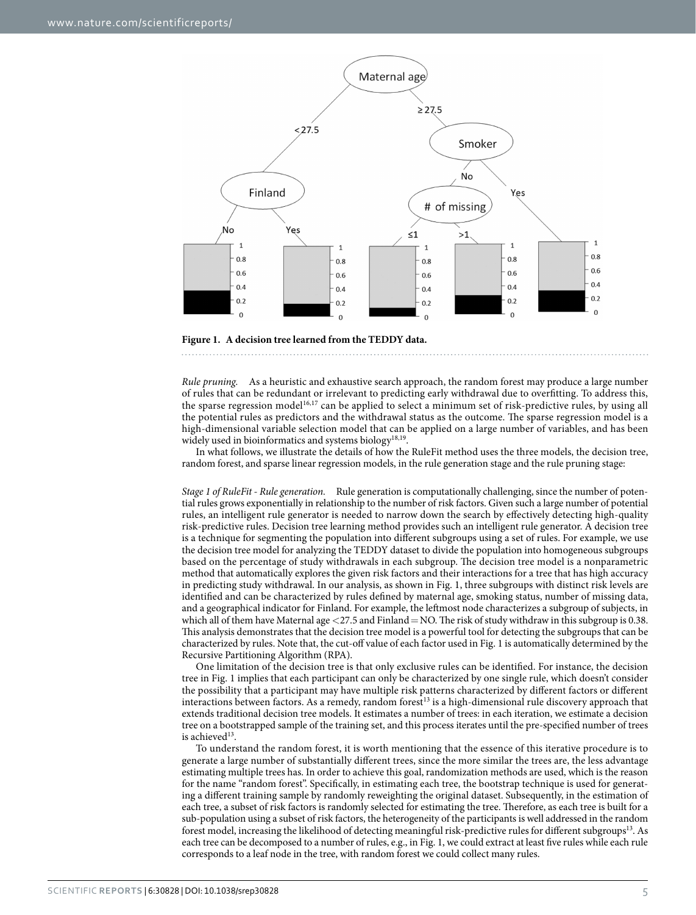

<span id="page-4-0"></span>

*Rule pruning.* As a heuristic and exhaustive search approach, the random forest may produce a large number of rules that can be redundant or irrelevant to predicting early withdrawal due to overfitting. To address this, the sparse regression model<sup>16[,17](#page-9-7)</sup> can be applied to select a minimum set of risk-predictive rules, by using all the potential rules as predictors and the withdrawal status as the outcome. The sparse regression model is a high-dimensional variable selection model that can be applied on a large number of variables, and has been widely used in bioinformatics and systems biology<sup>[18,](#page-9-8)19</sup>.

In what follows, we illustrate the details of how the RuleFit method uses the three models, the decision tree, random forest, and sparse linear regression models, in the rule generation stage and the rule pruning stage:

*Stage 1 of RuleFit - Rule generation.* Rule generation is computationally challenging, since the number of potential rules grows exponentially in relationship to the number of risk factors. Given such a large number of potential rules, an intelligent rule generator is needed to narrow down the search by effectively detecting high-quality risk-predictive rules. Decision tree learning method provides such an intelligent rule generator. A decision tree is a technique for segmenting the population into different subgroups using a set of rules. For example, we use the decision tree model for analyzing the TEDDY dataset to divide the population into homogeneous subgroups based on the percentage of study withdrawals in each subgroup. The decision tree model is a nonparametric method that automatically explores the given risk factors and their interactions for a tree that has high accuracy in predicting study withdrawal. In our analysis, as shown in [Fig. 1](#page-4-0), three subgroups with distinct risk levels are identified and can be characterized by rules defined by maternal age, smoking status, number of missing data, and a geographical indicator for Finland. For example, the leftmost node characterizes a subgroup of subjects, in which all of them have Maternal age <27.5 and Finland= NO. The risk of study withdraw in this subgroup is 0.38. This analysis demonstrates that the decision tree model is a powerful tool for detecting the subgroups that can be characterized by rules. Note that, the cut-off value of each factor used in [Fig. 1](#page-4-0) is automatically determined by the Recursive Partitioning Algorithm (RPA).

One limitation of the decision tree is that only exclusive rules can be identified. For instance, the decision tree in [Fig. 1](#page-4-0) implies that each participant can only be characterized by one single rule, which doesn't consider the possibility that a participant may have multiple risk patterns characterized by different factors or different interactions between factors. As a remedy, random forest<sup>13</sup> is a high-dimensional rule discovery approach that extends traditional decision tree models. It estimates a number of trees: in each iteration, we estimate a decision tree on a bootstrapped sample of the training set, and this process iterates until the pre-specified number of trees is achieved<sup>[13](#page-9-3)</sup>.

To understand the random forest, it is worth mentioning that the essence of this iterative procedure is to generate a large number of substantially different trees, since the more similar the trees are, the less advantage estimating multiple trees has. In order to achieve this goal, randomization methods are used, which is the reason for the name "random forest". Specifically, in estimating each tree, the bootstrap technique is used for generating a different training sample by randomly reweighting the original dataset. Subsequently, in the estimation of each tree, a subset of risk factors is randomly selected for estimating the tree. Therefore, as each tree is built for a sub-population using a subset of risk factors, the heterogeneity of the participants is well addressed in the random forest model, increasing the likelihood of detecting meaningful risk-predictive rules for different subgroups[13](#page-9-3). As each tree can be decomposed to a number of rules, e.g., in [Fig. 1,](#page-4-0) we could extract at least five rules while each rule corresponds to a leaf node in the tree, with random forest we could collect many rules.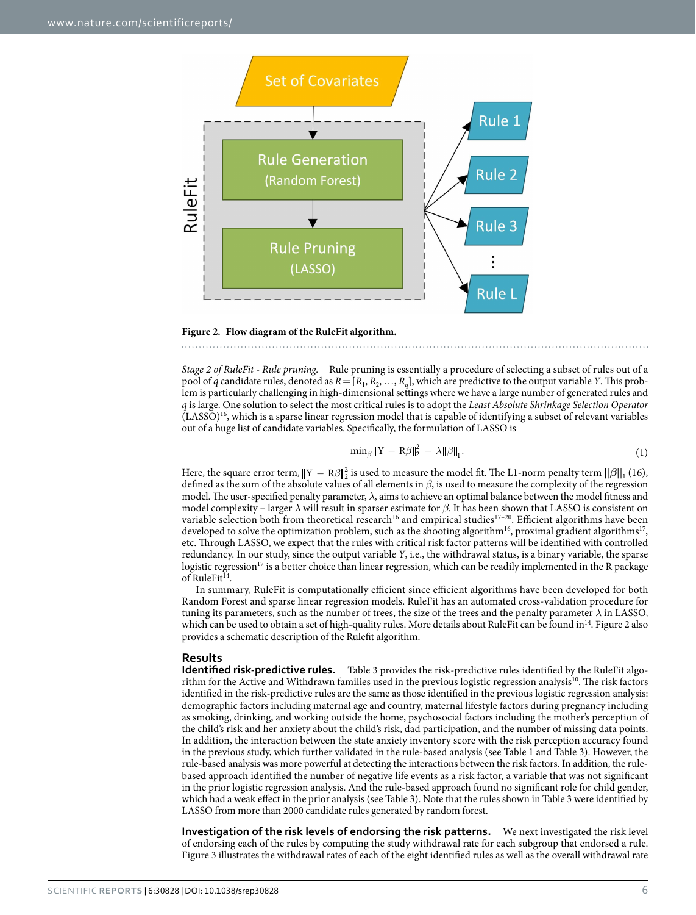

<span id="page-5-0"></span>

*Stage 2 of RuleFit - Rule pruning.* Rule pruning is essentially a procedure of selecting a subset of rules out of a pool of *q* candidate rules, denoted as  $R = [R_1, R_2, \ldots, R_q]$ , which are predictive to the output variable *Y*. This problem is particularly challenging in high-dimensional settings where we have a large number of generated rules and *q* is large. One solution to select the most critical rules is to adopt the *Least Absolute Shrinkage Selection Operator*  $(LASSO)<sup>16</sup>$  $(LASSO)<sup>16</sup>$  $(LASSO)<sup>16</sup>$ , which is a sparse linear regression model that is capable of identifying a subset of relevant variables out of a huge list of candidate variables. Specifically, the formulation of LASSO is

$$
\min_{\beta} \|Y - R\beta\|_2^2 + \lambda \|\beta\|_1. \tag{1}
$$

Here, the square error term,  $||Y - R\beta||_2^2$  is used to measure the model fit. The L1-norm penalty term  $||\beta||_1$  (16), defined as the sum of the absolute values of all elements in *β*, is used to measure the complexity of the regression model. The user-specified penalty parameter, *λ*, aims to achieve an optimal balance between the model fitness and model complexity – larger  $λ$  will result in sparser estimate for  $β$ . It has been shown that LASSO is consistent on variable selection both from theoretical research<sup>[16](#page-9-6)</sup> and empirical studies<sup>17-20</sup>. Efficient algorithms have been developed to solve the optimization problem, such as the shooting algorithm<sup>16</sup>, proximal gradient algorithms<sup>17</sup>, etc. Through LASSO, we expect that the rules with critical risk factor patterns will be identified with controlled redundancy. In our study, since the output variable *Y*, i.e., the withdrawal status, is a binary variable, the sparse logistic regression<sup>17</sup> is a better choice than linear regression, which can be readily implemented in the R package of RuleFit<sup>[14](#page-9-2)</sup>.

In summary, RuleFit is computationally efficient since efficient algorithms have been developed for both Random Forest and sparse linear regression models. RuleFit has an automated cross-validation procedure for tuning its parameters, such as the number of trees, the size of the trees and the penalty parameter *λ* in LASSO, which can be used to obtain a set of high-quality rules. More details about RuleFit can be found in<sup>14</sup>. [Figure 2](#page-5-0) also provides a schematic description of the Rulefit algorithm.

#### **Results**

**Identified risk-predictive rules.** [Table 3](#page-6-0) provides the risk-predictive rules identified by the RuleFit algorithm for the Active and Withdrawn families used in the previous logistic regression analysis<sup>10</sup>. The risk factors identified in the risk-predictive rules are the same as those identified in the previous logistic regression analysis: demographic factors including maternal age and country, maternal lifestyle factors during pregnancy including as smoking, drinking, and working outside the home, psychosocial factors including the mother's perception of the child's risk and her anxiety about the child's risk, dad participation, and the number of missing data points. In addition, the interaction between the state anxiety inventory score with the risk perception accuracy found in the previous study, which further validated in the rule-based analysis (see [Table 1](#page-2-0) and [Table 3\)](#page-6-0). However, the rule-based analysis was more powerful at detecting the interactions between the risk factors. In addition, the rulebased approach identified the number of negative life events as a risk factor, a variable that was not significant in the prior logistic regression analysis. And the rule-based approach found no significant role for child gender, which had a weak effect in the prior analysis (see [Table 3](#page-6-0)). Note that the rules shown in [Table 3](#page-6-0) were identified by LASSO from more than 2000 candidate rules generated by random forest.

**Investigation of the risk levels of endorsing the risk patterns.** We next investigated the risk level of endorsing each of the rules by computing the study withdrawal rate for each subgroup that endorsed a rule. [Figure 3](#page-6-1) illustrates the withdrawal rates of each of the eight identified rules as well as the overall withdrawal rate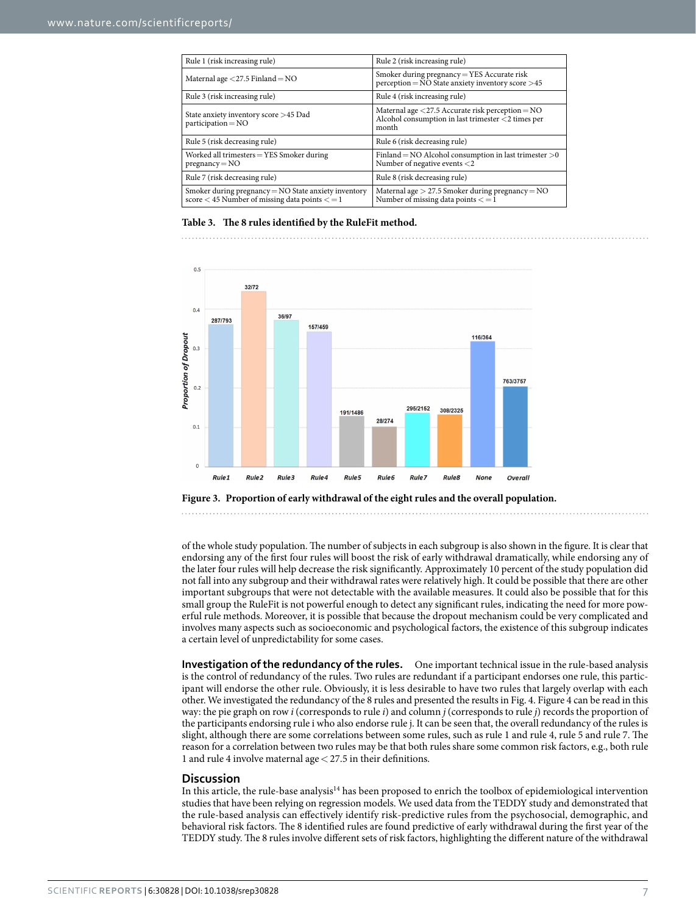<span id="page-6-0"></span>

| Rule 1 (risk increasing rule)                                                                                | Rule 2 (risk increasing rule)                                                                                                           |  |  |  |
|--------------------------------------------------------------------------------------------------------------|-----------------------------------------------------------------------------------------------------------------------------------------|--|--|--|
| Maternal age $\langle 27.5 \text{ Finland} = \text{NO}$                                                      | Smoker during pregnancy = YES Accurate risk<br>$perception = NO State anxiety inventory score > 45$                                     |  |  |  |
| Rule 3 (risk increasing rule)                                                                                | Rule 4 (risk increasing rule)                                                                                                           |  |  |  |
| State anxiety inventory score >45 Dad<br>$participation = NO$                                                | Maternal age $\langle 27.5 \text{ Accurate risk perception} = \text{NO}$<br>Alcohol consumption in last trimester <2 times per<br>month |  |  |  |
| Rule 5 (risk decreasing rule)                                                                                | Rule 6 (risk decreasing rule)                                                                                                           |  |  |  |
| Worked all trimesters = YES Smoker during<br>$pregnancy = NO$                                                | Finland = NO Alcohol consumption in last trimester $>0$<br>Number of negative events $<$ 2                                              |  |  |  |
| Rule 7 (risk decreasing rule)                                                                                | Rule 8 (risk decreasing rule)                                                                                                           |  |  |  |
| Smoker during pregnancy $=$ NO State anxiety inventory<br>score $<$ 45 Number of missing data points $<$ = 1 | Maternal age $> 27.5$ Smoker during pregnancy $=$ NO<br>Number of missing data points $\lt = 1$                                         |  |  |  |

#### **Table 3. The 8 rules identified by the RuleFit method.**



<span id="page-6-1"></span>**Figure 3. Proportion of early withdrawal of the eight rules and the overall population.**

of the whole study population. The number of subjects in each subgroup is also shown in the figure. It is clear that endorsing any of the first four rules will boost the risk of early withdrawal dramatically, while endorsing any of the later four rules will help decrease the risk significantly. Approximately 10 percent of the study population did not fall into any subgroup and their withdrawal rates were relatively high. It could be possible that there are other important subgroups that were not detectable with the available measures. It could also be possible that for this small group the RuleFit is not powerful enough to detect any significant rules, indicating the need for more powerful rule methods. Moreover, it is possible that because the dropout mechanism could be very complicated and involves many aspects such as socioeconomic and psychological factors, the existence of this subgroup indicates a certain level of unpredictability for some cases.

**Investigation of the redundancy of the rules.** One important technical issue in the rule-based analysis is the control of redundancy of the rules. Two rules are redundant if a participant endorses one rule, this participant will endorse the other rule. Obviously, it is less desirable to have two rules that largely overlap with each other. We investigated the redundancy of the 8 rules and presented the results in [Fig. 4. Figure 4](#page-7-0) can be read in this way: the pie graph on row *i* (corresponds to rule *i*) and column *j* (corresponds to rule *j*) records the proportion of the participants endorsing rule i who also endorse rule j. It can be seen that, the overall redundancy of the rules is slight, although there are some correlations between some rules, such as rule 1 and rule 4, rule 5 and rule 7. The reason for a correlation between two rules may be that both rules share some common risk factors, e.g., both rule 1 and rule 4 involve maternal age<27.5 in their definitions.

#### **Discussion**

In this article, the rule-base analysis<sup>14</sup> has been proposed to enrich the toolbox of epidemiological intervention studies that have been relying on regression models. We used data from the TEDDY study and demonstrated that the rule-based analysis can effectively identify risk-predictive rules from the psychosocial, demographic, and behavioral risk factors. The 8 identified rules are found predictive of early withdrawal during the first year of the TEDDY study. The 8 rules involve different sets of risk factors, highlighting the different nature of the withdrawal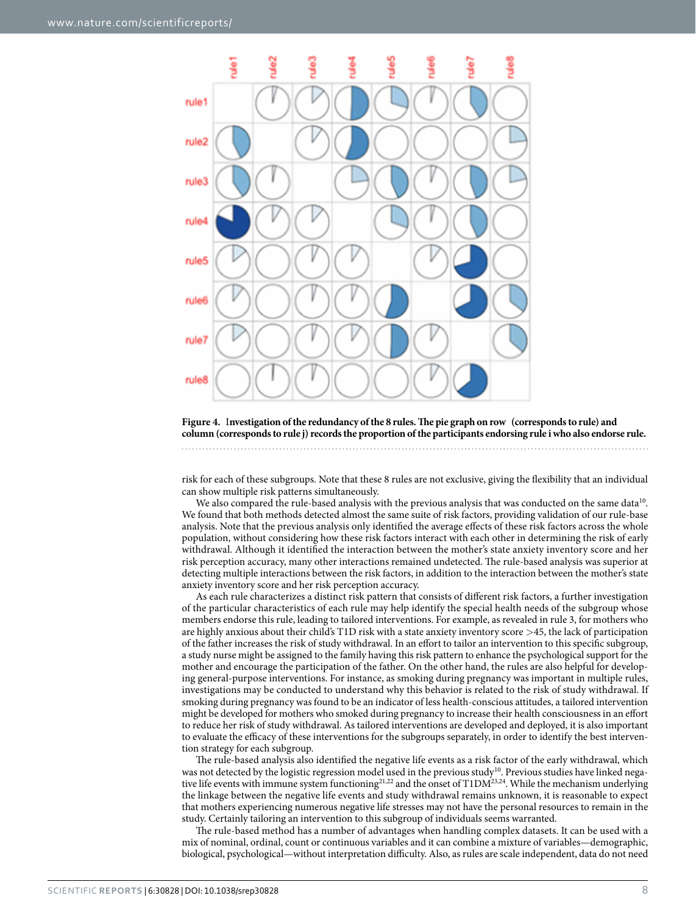

<span id="page-7-0"></span>**Figure 4.** I**nvestigation of the redundancy of the 8 rules. The pie graph on row (corresponds to rule) and column (corresponds to rule j) records the proportion of the participants endorsing rule i who also endorse rule.**

risk for each of these subgroups. Note that these 8 rules are not exclusive, giving the flexibility that an individual can show multiple risk patterns simultaneously.

We also compared the rule-based analysis with the previous analysis that was conducted on the same data<sup>10</sup>. We found that both methods detected almost the same suite of risk factors, providing validation of our rule-base analysis. Note that the previous analysis only identified the average effects of these risk factors across the whole population, without considering how these risk factors interact with each other in determining the risk of early withdrawal. Although it identified the interaction between the mother's state anxiety inventory score and her risk perception accuracy, many other interactions remained undetected. The rule-based analysis was superior at detecting multiple interactions between the risk factors, in addition to the interaction between the mother's state anxiety inventory score and her risk perception accuracy.

As each rule characterizes a distinct risk pattern that consists of different risk factors, a further investigation of the particular characteristics of each rule may help identify the special health needs of the subgroup whose members endorse this rule, leading to tailored interventions. For example, as revealed in rule 3, for mothers who are highly anxious about their child's T1D risk with a state anxiety inventory score >45, the lack of participation of the father increases the risk of study withdrawal. In an effort to tailor an intervention to this specific subgroup, a study nurse might be assigned to the family having this risk pattern to enhance the psychological support for the mother and encourage the participation of the father. On the other hand, the rules are also helpful for developing general-purpose interventions. For instance, as smoking during pregnancy was important in multiple rules, investigations may be conducted to understand why this behavior is related to the risk of study withdrawal. If smoking during pregnancy was found to be an indicator of less health-conscious attitudes, a tailored intervention might be developed for mothers who smoked during pregnancy to increase their health consciousness in an effort to reduce her risk of study withdrawal. As tailored interventions are developed and deployed, it is also important to evaluate the efficacy of these interventions for the subgroups separately, in order to identify the best intervention strategy for each subgroup.

The rule-based analysis also identified the negative life events as a risk factor of the early withdrawal, which was not detected by the logistic regression model used in the previous study<sup>10</sup>. Previous studies have linked negative life events with immune system functioning<sup>21,22</sup> and the onset of T1DM<sup>23,24</sup>. While the mechanism underlying the linkage between the negative life events and study withdrawal remains unknown, it is reasonable to expect that mothers experiencing numerous negative life stresses may not have the personal resources to remain in the study. Certainly tailoring an intervention to this subgroup of individuals seems warranted.

The rule-based method has a number of advantages when handling complex datasets. It can be used with a mix of nominal, ordinal, count or continuous variables and it can combine a mixture of variables—demographic, biological, psychological—without interpretation difficulty. Also, as rules are scale independent, data do not need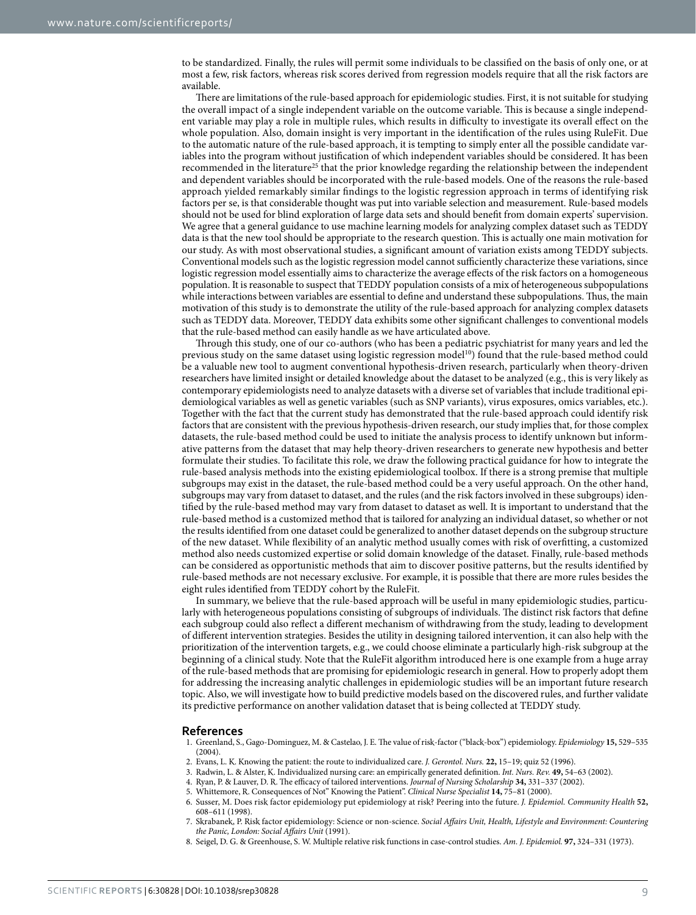to be standardized. Finally, the rules will permit some individuals to be classified on the basis of only one, or at most a few, risk factors, whereas risk scores derived from regression models require that all the risk factors are available.

There are limitations of the rule-based approach for epidemiologic studies. First, it is not suitable for studying the overall impact of a single independent variable on the outcome variable. This is because a single independent variable may play a role in multiple rules, which results in difficulty to investigate its overall effect on the whole population. Also, domain insight is very important in the identification of the rules using RuleFit. Due to the automatic nature of the rule-based approach, it is tempting to simply enter all the possible candidate variables into the program without justification of which independent variables should be considered. It has been recommended in the literature<sup>[25](#page-9-14)</sup> that the prior knowledge regarding the relationship between the independent and dependent variables should be incorporated with the rule-based models. One of the reasons the rule-based approach yielded remarkably similar findings to the logistic regression approach in terms of identifying risk factors per se, is that considerable thought was put into variable selection and measurement. Rule-based models should not be used for blind exploration of large data sets and should benefit from domain experts' supervision. We agree that a general guidance to use machine learning models for analyzing complex dataset such as TEDDY data is that the new tool should be appropriate to the research question. This is actually one main motivation for our study. As with most observational studies, a significant amount of variation exists among TEDDY subjects. Conventional models such as the logistic regression model cannot sufficiently characterize these variations, since logistic regression model essentially aims to characterize the average effects of the risk factors on a homogeneous population. It is reasonable to suspect that TEDDY population consists of a mix of heterogeneous subpopulations while interactions between variables are essential to define and understand these subpopulations. Thus, the main motivation of this study is to demonstrate the utility of the rule-based approach for analyzing complex datasets such as TEDDY data. Moreover, TEDDY data exhibits some other significant challenges to conventional models that the rule-based method can easily handle as we have articulated above.

Through this study, one of our co-authors (who has been a pediatric psychiatrist for many years and led the previous study on the same dataset using logistic regression model<sup>[10](#page-9-5)</sup>) found that the rule-based method could be a valuable new tool to augment conventional hypothesis-driven research, particularly when theory-driven researchers have limited insight or detailed knowledge about the dataset to be analyzed (e.g., this is very likely as contemporary epidemiologists need to analyze datasets with a diverse set of variables that include traditional epidemiological variables as well as genetic variables (such as SNP variants), virus exposures, omics variables, etc.). Together with the fact that the current study has demonstrated that the rule-based approach could identify risk factors that are consistent with the previous hypothesis-driven research, our study implies that, for those complex datasets, the rule-based method could be used to initiate the analysis process to identify unknown but informative patterns from the dataset that may help theory-driven researchers to generate new hypothesis and better formulate their studies. To facilitate this role, we draw the following practical guidance for how to integrate the rule-based analysis methods into the existing epidemiological toolbox. If there is a strong premise that multiple subgroups may exist in the dataset, the rule-based method could be a very useful approach. On the other hand, subgroups may vary from dataset to dataset, and the rules (and the risk factors involved in these subgroups) identified by the rule-based method may vary from dataset to dataset as well. It is important to understand that the rule-based method is a customized method that is tailored for analyzing an individual dataset, so whether or not the results identified from one dataset could be generalized to another dataset depends on the subgroup structure of the new dataset. While flexibility of an analytic method usually comes with risk of overfitting, a customized method also needs customized expertise or solid domain knowledge of the dataset. Finally, rule-based methods can be considered as opportunistic methods that aim to discover positive patterns, but the results identified by rule-based methods are not necessary exclusive. For example, it is possible that there are more rules besides the eight rules identified from TEDDY cohort by the RuleFit.

In summary, we believe that the rule-based approach will be useful in many epidemiologic studies, particularly with heterogeneous populations consisting of subgroups of individuals. The distinct risk factors that define each subgroup could also reflect a different mechanism of withdrawing from the study, leading to development of different intervention strategies. Besides the utility in designing tailored intervention, it can also help with the prioritization of the intervention targets, e.g., we could choose eliminate a particularly high-risk subgroup at the beginning of a clinical study. Note that the RuleFit algorithm introduced here is one example from a huge array of the rule-based methods that are promising for epidemiologic research in general. How to properly adopt them for addressing the increasing analytic challenges in epidemiologic studies will be an important future research topic. Also, we will investigate how to build predictive models based on the discovered rules, and further validate its predictive performance on another validation dataset that is being collected at TEDDY study.

#### **References**

- <span id="page-8-0"></span>1. Greenland, S., Gago-Dominguez, M. & Castelao, J. E. The value of risk-factor ("black-box") epidemiology. *Epidemiology* **15,** 529–535 (2004).
- <span id="page-8-1"></span>2. Evans, L. K. Knowing the patient: the route to individualized care. *J. Gerontol. Nurs.* **22,** 15–19; quiz 52 (1996).
- 3. Radwin, L. & Alster, K. Individualized nursing care: an empirically generated definition. *Int. Nurs. Rev.* **49,** 54–63 (2002).
- 4. Ryan, P. & Lauver, D. R. The efficacy of tailored interventions. *Journal of Nursing Scholarship* **34,** 331–337 (2002).
- 5. Whittemore, R. Consequences of Not" Knowing the Patient". *Clinical Nurse Specialist* **14,** 75–81 (2000).
- <span id="page-8-5"></span><span id="page-8-2"></span>6. Susser, M. Does risk factor epidemiology put epidemiology at risk? Peering into the future. *J. Epidemiol. Community Health* **52,** 608–611 (1998).
- <span id="page-8-3"></span>7. Skrabanek, P. Risk factor epidemiology: Science or non-science. *Social Affairs Unit, Health, Lifestyle and Environment: Countering the Panic, London: Social Affairs Unit* (1991).
- <span id="page-8-4"></span>8. Seigel, D. G. & Greenhouse, S. W. Multiple relative risk functions in case-control studies. *Am. J. Epidemiol.* **97,** 324–331 (1973).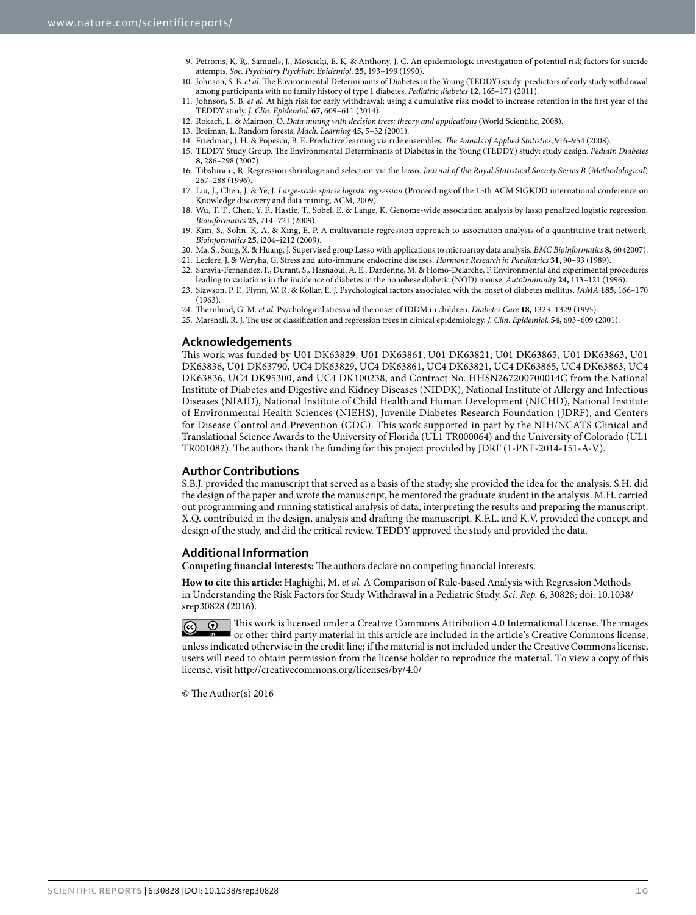- 9. Petronis, K. R., Samuels, J., Moscicki, E. K. & Anthony, J. C. An epidemiologic investigation of potential risk factors for suicide attempts. *Soc. Psychiatry Psychiatr. Epidemiol*. **25,** 193–199 (1990).
- <span id="page-9-5"></span>10. Johnson, S. B. *et al.* The Environmental Determinants of Diabetes in the Young (TEDDY) study: predictors of early study withdrawal among participants with no family history of type 1 diabetes. *Pediatric diabetes* **12,** 165–171 (2011).
- <span id="page-9-0"></span>11. Johnson, S. B. *et al.* At high risk for early withdrawal: using a cumulative risk model to increase retention in the first year of the TEDDY study. *J. Clin. Epidemiol.* **67,** 609–611 (2014).
- <span id="page-9-1"></span>12. Rokach, L. & Maimon, O. *Data mining with decision trees: theory and applications* (World Scientific, 2008).
- <span id="page-9-3"></span><span id="page-9-2"></span>13. Breiman, L. Random forests. *Mach. Learning* **45,** 5–32 (2001).
- 14. Friedman, J. H. & Popescu, B. E. Predictive learning via rule ensembles. *The Annals of Applied Statistics*, 916–954 (2008).
- <span id="page-9-4"></span>15. TEDDY Study Group. The Environmental Determinants of Diabetes in the Young (TEDDY) study: study design. *Pediatr. Diabetes* **8,** 286–298 (2007).
- <span id="page-9-6"></span>16. Tibshirani, R. Regression shrinkage and selection via the lasso. *Journal of the Royal Statistical Society.Series B* (*Methodological*) 267–288 (1996).
- <span id="page-9-7"></span>17. Liu, J., Chen, J. & Ye, J. *Large-scale sparse logistic regression* (Proceedings of the 15th ACM SIGKDD international conference on Knowledge discovery and data mining, ACM, 2009).
- <span id="page-9-8"></span>18. Wu, T. T., Chen, Y. F., Hastie, T., Sobel, E. & Lange, K. Genome-wide association analysis by lasso penalized logistic regression. *Bioinformatics* **25,** 714–721 (2009).
- <span id="page-9-9"></span>19. Kim, S., Sohn, K. A. & Xing, E. P. A multivariate regression approach to association analysis of a quantitative trait network. *Bioinformatics* **25,** i204–i212 (2009).
- 20. Ma, S., Song, X. & Huang, J. Supervised group Lasso with applications to microarray data analysis. *BMC Bioinformatics* **8,** 60 (2007).
- <span id="page-9-10"></span>21. Leclere, J. & Weryha, G. Stress and auto-immune endocrine diseases. *Hormone Research in Paediatrics* **31,** 90–93 (1989). 22. Saravia-Fernandez, F., Durant, S., Hasnaoui, A. E., Dardenne, M. & Homo-Delarche, F. Environmental and experimental procedures
- <span id="page-9-11"></span>leading to variations in the incidence of diabetes in the nonobese diabetic (NOD) mouse. *Autoimmunity* **24,** 113–121 (1996).
- <span id="page-9-12"></span>23. Slawson, P. F., Flynn, W. R. & Kollar, E. J. Psychological factors associated with the onset of diabetes mellitus. *JAMA* **185,** 166–170 (1963).
- <span id="page-9-13"></span>24. Thernlund, G. M. *et al.* Psychological stress and the onset of IDDM in children. *Diabetes Care* **18,** 1323–1329 (1995).
- <span id="page-9-14"></span>25. Marshall, R. J. The use of classification and regression trees in clinical epidemiology. *J. Clin. Epidemiol.* **54,** 603–609 (2001).

#### **Acknowledgements**

This work was funded by U01 DK63829, U01 DK63861, U01 DK63821, U01 DK63865, U01 DK63863, U01 DK63836, U01 DK63790, UC4 DK63829, UC4 DK63861, UC4 DK63821, UC4 DK63865, UC4 DK63863, UC4 DK63836, UC4 DK95300, and UC4 DK100238, and Contract No. HHSN267200700014C from the National Institute of Diabetes and Digestive and Kidney Diseases (NIDDK), National Institute of Allergy and Infectious Diseases (NIAID), National Institute of Child Health and Human Development (NICHD), National Institute of Environmental Health Sciences (NIEHS), Juvenile Diabetes Research Foundation (JDRF), and Centers for Disease Control and Prevention (CDC). This work supported in part by the NIH/NCATS Clinical and Translational Science Awards to the University of Florida (UL1 TR000064) and the University of Colorado (UL1 TR001082). The authors thank the funding for this project provided by JDRF (1-PNF-2014-151-A-V).

#### **Author Contributions**

S.B.J. provided the manuscript that served as a basis of the study; she provided the idea for the analysis. S.H. did the design of the paper and wrote the manuscript, he mentored the graduate student in the analysis. M.H. carried out programming and running statistical analysis of data, interpreting the results and preparing the manuscript. X.Q. contributed in the design, analysis and drafting the manuscript. K.F.L. and K.V. provided the concept and design of the study, and did the critical review. TEDDY approved the study and provided the data.

#### **Additional Information**

**Competing financial interests:** The authors declare no competing financial interests.

**How to cite this article**: Haghighi, M. *et al.* A Comparison of Rule-based Analysis with Regression Methods in Understanding the Risk Factors for Study Withdrawal in a Pediatric Study. *Sci. Rep.* **6**, 30828; doi: 10.1038/ srep30828 (2016).

This work is licensed under a Creative Commons Attribution 4.0 International License. The images or other third party material in this article are included in the article's Creative Commons license, unless indicated otherwise in the credit line; if the material is not included under the Creative Commons license, users will need to obtain permission from the license holder to reproduce the material. To view a copy of this license, visit <http://creativecommons.org/licenses/by/4.0/>

© The Author(s) 2016